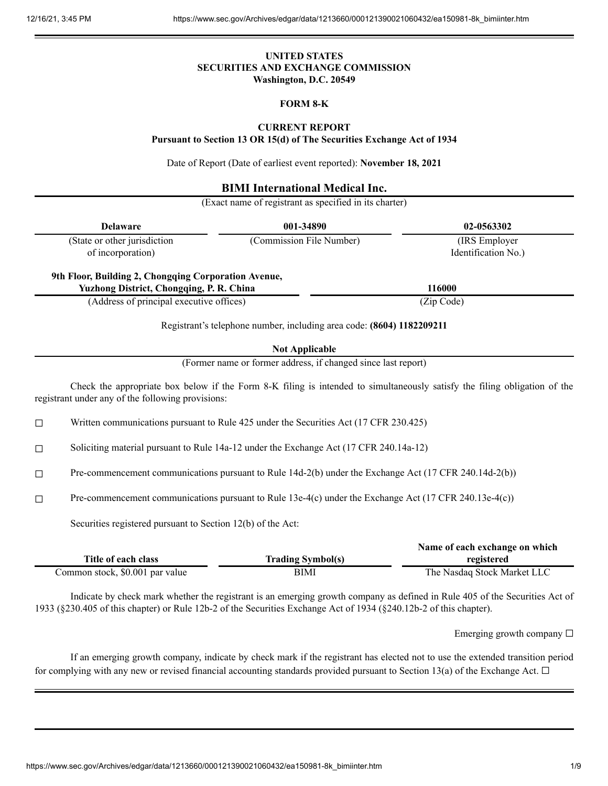# **UNITED STATES SECURITIES AND EXCHANGE COMMISSION Washington, D.C. 20549**

# **FORM 8-K**

# **CURRENT REPORT**

**Pursuant to Section 13 OR 15(d) of The Securities Exchange Act of 1934**

Date of Report (Date of earliest event reported): **November 18, 2021**

# **BIMI International Medical Inc.**

(Exact name of registrant as specified in its charter)

| <b>Delaware</b>                                   |                                                                                                         | 001-34890                                                                              | 02-0563302                                                                                                                |
|---------------------------------------------------|---------------------------------------------------------------------------------------------------------|----------------------------------------------------------------------------------------|---------------------------------------------------------------------------------------------------------------------------|
| (State or other jurisdiction<br>of incorporation) |                                                                                                         | (Commission File Number)                                                               | (IRS Employer<br>Identification No.)                                                                                      |
|                                                   | 9th Floor, Building 2, Chongqing Corporation Avenue,<br><b>Yuzhong District, Chongqing, P. R. China</b> |                                                                                        | 116000                                                                                                                    |
|                                                   | (Address of principal executive offices)                                                                |                                                                                        | (Zip Code)                                                                                                                |
|                                                   |                                                                                                         | Registrant's telephone number, including area code: (8604) 1182209211                  |                                                                                                                           |
|                                                   |                                                                                                         | <b>Not Applicable</b>                                                                  |                                                                                                                           |
|                                                   |                                                                                                         | (Former name or former address, if changed since last report)                          |                                                                                                                           |
|                                                   | registrant under any of the following provisions:                                                       |                                                                                        | Check the appropriate box below if the Form 8-K filing is intended to simultaneously satisfy the filing obligation of the |
| □                                                 |                                                                                                         | Written communications pursuant to Rule 425 under the Securities Act (17 CFR 230.425)  |                                                                                                                           |
| $\Box$                                            |                                                                                                         | Soliciting material pursuant to Rule 14a-12 under the Exchange Act (17 CFR 240.14a-12) |                                                                                                                           |
| $\Box$                                            | Pre-commencement communications pursuant to Rule 14d-2(b) under the Exchange Act (17 CFR 240.14d-2(b))  |                                                                                        |                                                                                                                           |
| $\Box$                                            | Pre-commencement communications pursuant to Rule 13e-4(c) under the Exchange Act (17 CFR 240.13e-4(c))  |                                                                                        |                                                                                                                           |
|                                                   | Securities registered pursuant to Section 12(b) of the Act:                                             |                                                                                        |                                                                                                                           |
|                                                   | Title of each class                                                                                     | <b>Trading Symbol(s)</b>                                                               | Name of each exchange on which<br>registered                                                                              |

| Indicate by check mark whether the registrant is an emerging growth company as defined in Rule 405 of the Securities Act of |  |
|-----------------------------------------------------------------------------------------------------------------------------|--|
| 1933 (§230.405 of this chapter) or Rule 12b-2 of the Securities Exchange Act of 1934 (§240.12b-2 of this chapter).          |  |

Common stock, \$0.001 par value BIMI BIMI The Nasdaq Stock Market LLC

Emerging growth company ☐

If an emerging growth company, indicate by check mark if the registrant has elected not to use the extended transition period for complying with any new or revised financial accounting standards provided pursuant to Section 13(a) of the Exchange Act.  $\Box$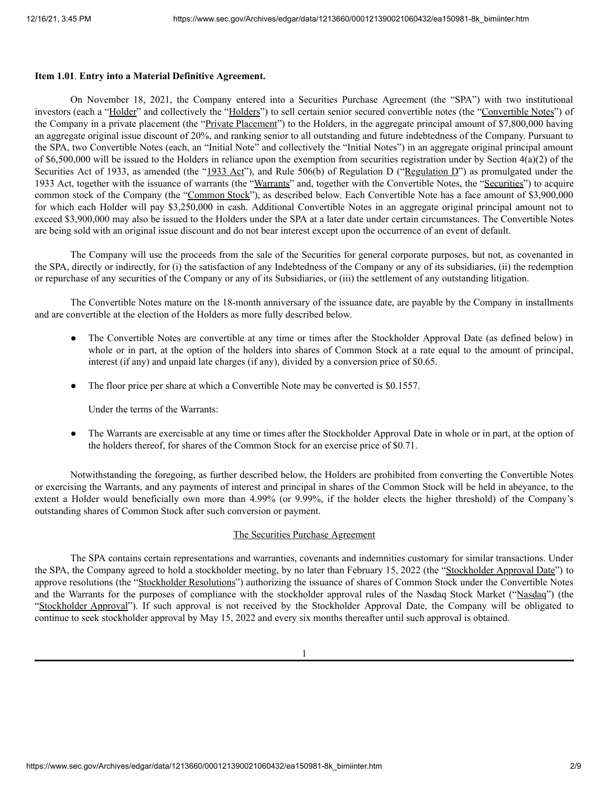## **Item 1.01**. **Entry into a Material Definitive Agreement.**

On November 18, 2021, the Company entered into a Securities Purchase Agreement (the "SPA") with two institutional investors (each a "Holder" and collectively the "Holders") to sell certain senior secured convertible notes (the "Convertible Notes") of the Company in a private placement (the "Private Placement") to the Holders, in the aggregate principal amount of \$7,800,000 having an aggregate original issue discount of 20%, and ranking senior to all outstanding and future indebtedness of the Company. Pursuant to the SPA, two Convertible Notes (each, an "Initial Note" and collectively the "Initial Notes") in an aggregate original principal amount of \$6,500,000 will be issued to the Holders in reliance upon the exemption from securities registration under by Section  $4(a)(2)$  of the Securities Act of 1933, as amended (the "1933 Act"), and Rule 506(b) of Regulation D ("Regulation D") as promulgated under the 1933 Act, together with the issuance of warrants (the "Warrants" and, together with the Convertible Notes, the "Securities") to acquire common stock of the Company (the "Common Stock"), as described below. Each Convertible Note has a face amount of \$3,900,000 for which each Holder will pay \$3,250,000 in cash. Additional Convertible Notes in an aggregate original principal amount not to exceed \$3,900,000 may also be issued to the Holders under the SPA at a later date under certain circumstances. The Convertible Notes are being sold with an original issue discount and do not bear interest except upon the occurrence of an event of default.

The Company will use the proceeds from the sale of the Securities for general corporate purposes, but not, as covenanted in the SPA, directly or indirectly, for (i) the satisfaction of any Indebtedness of the Company or any of its subsidiaries, (ii) the redemption or repurchase of any securities of the Company or any of its Subsidiaries, or (iii) the settlement of any outstanding litigation.

The Convertible Notes mature on the 18-month anniversary of the issuance date, are payable by the Company in installments and are convertible at the election of the Holders as more fully described below.

- The Convertible Notes are convertible at any time or times after the Stockholder Approval Date (as defined below) in whole or in part, at the option of the holders into shares of Common Stock at a rate equal to the amount of principal, interest (if any) and unpaid late charges (if any), divided by a conversion price of \$0.65.
- The floor price per share at which a Convertible Note may be converted is \$0.1557.

Under the terms of the Warrants:

• The Warrants are exercisable at any time or times after the Stockholder Approval Date in whole or in part, at the option of the holders thereof, for shares of the Common Stock for an exercise price of \$0.71.

Notwithstanding the foregoing, as further described below, the Holders are prohibited from converting the Convertible Notes or exercising the Warrants, and any payments of interest and principal in shares of the Common Stock will be held in abeyance, to the extent a Holder would beneficially own more than 4.99% (or 9.99%, if the holder elects the higher threshold) of the Company's outstanding shares of Common Stock after such conversion or payment.

# The Securities Purchase Agreement

The SPA contains certain representations and warranties, covenants and indemnities customary for similar transactions. Under the SPA, the Company agreed to hold a stockholder meeting, by no later than February 15, 2022 (the "Stockholder Approval Date") to approve resolutions (the "Stockholder Resolutions") authorizing the issuance of shares of Common Stock under the Convertible Notes and the Warrants for the purposes of compliance with the stockholder approval rules of the Nasdaq Stock Market ("Nasdaq") (the "Stockholder Approval"). If such approval is not received by the Stockholder Approval Date, the Company will be obligated to continue to seek stockholder approval by May 15, 2022 and every six months thereafter until such approval is obtained.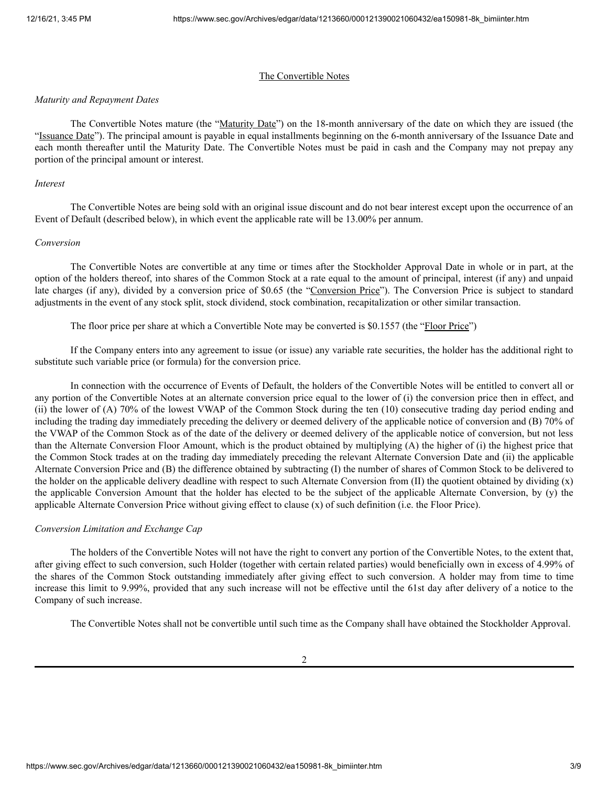## The Convertible Notes

#### *Maturity and Repayment Dates*

The Convertible Notes mature (the "Maturity Date") on the 18-month anniversary of the date on which they are issued (the "Issuance Date"). The principal amount is payable in equal installments beginning on the 6-month anniversary of the Issuance Date and each month thereafter until the Maturity Date. The Convertible Notes must be paid in cash and the Company may not prepay any portion of the principal amount or interest.

#### *Interest*

The Convertible Notes are being sold with an original issue discount and do not bear interest except upon the occurrence of an Event of Default (described below), in which event the applicable rate will be 13.00% per annum.

#### *Conversion*

The Convertible Notes are convertible at any time or times after the Stockholder Approval Date in whole or in part, at the option of the holders thereof, into shares of the Common Stock at a rate equal to the amount of principal, interest (if any) and unpaid late charges (if any), divided by a conversion price of \$0.65 (the "Conversion Price"). The Conversion Price is subject to standard adjustments in the event of any stock split, stock dividend, stock combination, recapitalization or other similar transaction.

The floor price per share at which a Convertible Note may be converted is \$0.1557 (the "Floor Price")

If the Company enters into any agreement to issue (or issue) any variable rate securities, the holder has the additional right to substitute such variable price (or formula) for the conversion price.

In connection with the occurrence of Events of Default, the holders of the Convertible Notes will be entitled to convert all or any portion of the Convertible Notes at an alternate conversion price equal to the lower of (i) the conversion price then in effect, and (ii) the lower of (A) 70% of the lowest VWAP of the Common Stock during the ten (10) consecutive trading day period ending and including the trading day immediately preceding the delivery or deemed delivery of the applicable notice of conversion and (B) 70% of the VWAP of the Common Stock as of the date of the delivery or deemed delivery of the applicable notice of conversion, but not less than the Alternate Conversion Floor Amount, which is the product obtained by multiplying (A) the higher of (i) the highest price that the Common Stock trades at on the trading day immediately preceding the relevant Alternate Conversion Date and (ii) the applicable Alternate Conversion Price and (B) the difference obtained by subtracting (I) the number of shares of Common Stock to be delivered to the holder on the applicable delivery deadline with respect to such Alternate Conversion from (II) the quotient obtained by dividing (x) the applicable Conversion Amount that the holder has elected to be the subject of the applicable Alternate Conversion, by (y) the applicable Alternate Conversion Price without giving effect to clause (x) of such definition (i.e. the Floor Price).

#### *Conversion Limitation and Exchange Cap*

The holders of the Convertible Notes will not have the right to convert any portion of the Convertible Notes, to the extent that, after giving effect to such conversion, such Holder (together with certain related parties) would beneficially own in excess of 4.99% of the shares of the Common Stock outstanding immediately after giving effect to such conversion. A holder may from time to time increase this limit to 9.99%, provided that any such increase will not be effective until the 61st day after delivery of a notice to the Company of such increase.

The Convertible Notes shall not be convertible until such time as the Company shall have obtained the Stockholder Approval.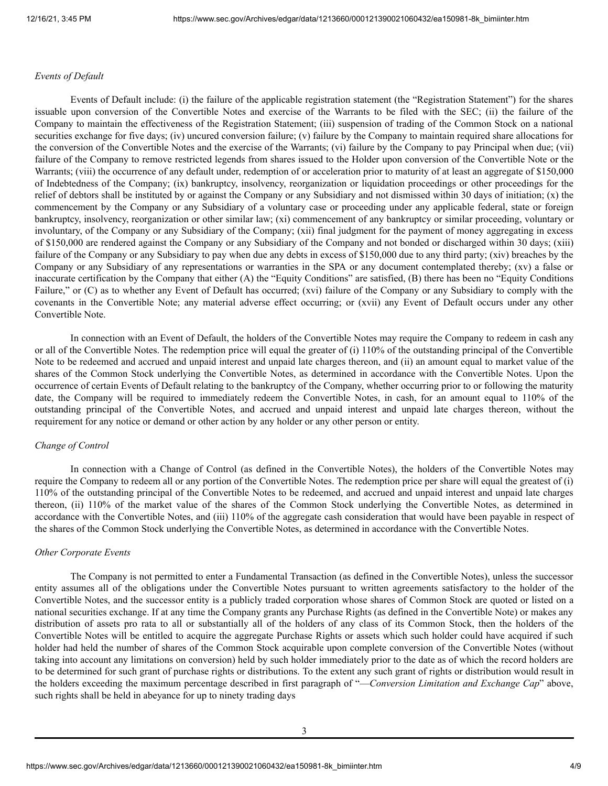## *Events of Default*

Events of Default include: (i) the failure of the applicable registration statement (the "Registration Statement") for the shares issuable upon conversion of the Convertible Notes and exercise of the Warrants to be filed with the SEC; (ii) the failure of the Company to maintain the effectiveness of the Registration Statement; (iii) suspension of trading of the Common Stock on a national securities exchange for five days; (iv) uncured conversion failure; (v) failure by the Company to maintain required share allocations for the conversion of the Convertible Notes and the exercise of the Warrants; (vi) failure by the Company to pay Principal when due; (vii) failure of the Company to remove restricted legends from shares issued to the Holder upon conversion of the Convertible Note or the Warrants; (viii) the occurrence of any default under, redemption of or acceleration prior to maturity of at least an aggregate of \$150,000 of Indebtedness of the Company; (ix) bankruptcy, insolvency, reorganization or liquidation proceedings or other proceedings for the relief of debtors shall be instituted by or against the Company or any Subsidiary and not dismissed within 30 days of initiation; (x) the commencement by the Company or any Subsidiary of a voluntary case or proceeding under any applicable federal, state or foreign bankruptcy, insolvency, reorganization or other similar law; (xi) commencement of any bankruptcy or similar proceeding, voluntary or involuntary, of the Company or any Subsidiary of the Company; (xii) final judgment for the payment of money aggregating in excess of \$150,000 are rendered against the Company or any Subsidiary of the Company and not bonded or discharged within 30 days; (xiii) failure of the Company or any Subsidiary to pay when due any debts in excess of \$150,000 due to any third party; (xiv) breaches by the Company or any Subsidiary of any representations or warranties in the SPA or any document contemplated thereby; (xv) a false or inaccurate certification by the Company that either (A) the "Equity Conditions" are satisfied, (B) there has been no "Equity Conditions Failure," or (C) as to whether any Event of Default has occurred; (xvi) failure of the Company or any Subsidiary to comply with the covenants in the Convertible Note; any material adverse effect occurring; or (xvii) any Event of Default occurs under any other Convertible Note.

In connection with an Event of Default, the holders of the Convertible Notes may require the Company to redeem in cash any or all of the Convertible Notes. The redemption price will equal the greater of (i) 110% of the outstanding principal of the Convertible Note to be redeemed and accrued and unpaid interest and unpaid late charges thereon, and (ii) an amount equal to market value of the shares of the Common Stock underlying the Convertible Notes, as determined in accordance with the Convertible Notes. Upon the occurrence of certain Events of Default relating to the bankruptcy of the Company, whether occurring prior to or following the maturity date, the Company will be required to immediately redeem the Convertible Notes, in cash, for an amount equal to 110% of the outstanding principal of the Convertible Notes, and accrued and unpaid interest and unpaid late charges thereon, without the requirement for any notice or demand or other action by any holder or any other person or entity.

## *Change of Control*

In connection with a Change of Control (as defined in the Convertible Notes), the holders of the Convertible Notes may require the Company to redeem all or any portion of the Convertible Notes. The redemption price per share will equal the greatest of (i) 110% of the outstanding principal of the Convertible Notes to be redeemed, and accrued and unpaid interest and unpaid late charges thereon, (ii) 110% of the market value of the shares of the Common Stock underlying the Convertible Notes, as determined in accordance with the Convertible Notes, and (iii) 110% of the aggregate cash consideration that would have been payable in respect of the shares of the Common Stock underlying the Convertible Notes, as determined in accordance with the Convertible Notes.

#### *Other Corporate Events*

The Company is not permitted to enter a Fundamental Transaction (as defined in the Convertible Notes), unless the successor entity assumes all of the obligations under the Convertible Notes pursuant to written agreements satisfactory to the holder of the Convertible Notes, and the successor entity is a publicly traded corporation whose shares of Common Stock are quoted or listed on a national securities exchange. If at any time the Company grants any Purchase Rights (as defined in the Convertible Note) or makes any distribution of assets pro rata to all or substantially all of the holders of any class of its Common Stock, then the holders of the Convertible Notes will be entitled to acquire the aggregate Purchase Rights or assets which such holder could have acquired if such holder had held the number of shares of the Common Stock acquirable upon complete conversion of the Convertible Notes (without taking into account any limitations on conversion) held by such holder immediately prior to the date as of which the record holders are to be determined for such grant of purchase rights or distributions. To the extent any such grant of rights or distribution would result in the holders exceeding the maximum percentage described in first paragraph of "—*Conversion Limitation and Exchange Cap*" above, such rights shall be held in abeyance for up to ninety trading days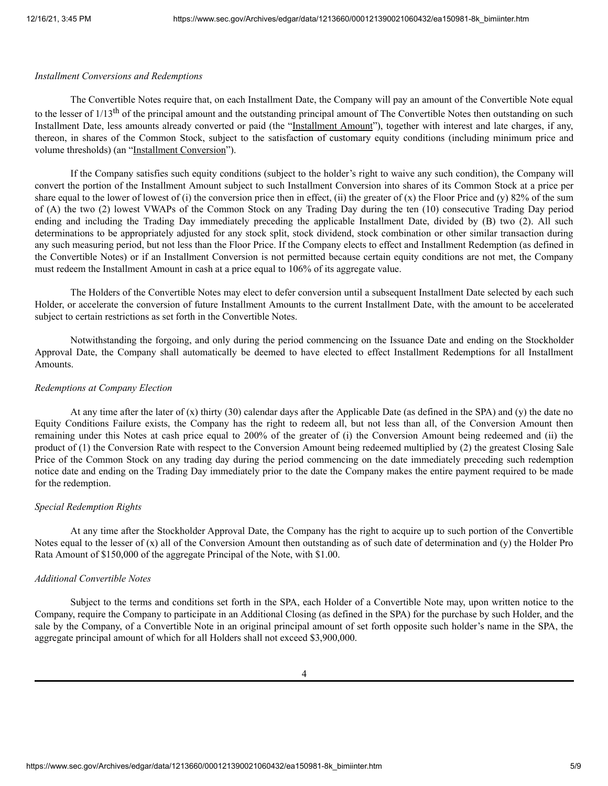#### *Installment Conversions and Redemptions*

The Convertible Notes require that, on each Installment Date, the Company will pay an amount of the Convertible Note equal to the lesser of 1/13<sup>th</sup> of the principal amount and the outstanding principal amount of The Convertible Notes then outstanding on such Installment Date, less amounts already converted or paid (the "Installment Amount"), together with interest and late charges, if any, thereon, in shares of the Common Stock, subject to the satisfaction of customary equity conditions (including minimum price and volume thresholds) (an "Installment Conversion").

If the Company satisfies such equity conditions (subject to the holder's right to waive any such condition), the Company will convert the portion of the Installment Amount subject to such Installment Conversion into shares of its Common Stock at a price per share equal to the lower of lowest of (i) the conversion price then in effect, (ii) the greater of (x) the Floor Price and (y) 82% of the sum of (A) the two (2) lowest VWAPs of the Common Stock on any Trading Day during the ten (10) consecutive Trading Day period ending and including the Trading Day immediately preceding the applicable Installment Date, divided by (B) two (2). All such determinations to be appropriately adjusted for any stock split, stock dividend, stock combination or other similar transaction during any such measuring period, but not less than the Floor Price. If the Company elects to effect and Installment Redemption (as defined in the Convertible Notes) or if an Installment Conversion is not permitted because certain equity conditions are not met, the Company must redeem the Installment Amount in cash at a price equal to 106% of its aggregate value.

The Holders of the Convertible Notes may elect to defer conversion until a subsequent Installment Date selected by each such Holder, or accelerate the conversion of future Installment Amounts to the current Installment Date, with the amount to be accelerated subject to certain restrictions as set forth in the Convertible Notes.

Notwithstanding the forgoing, and only during the period commencing on the Issuance Date and ending on the Stockholder Approval Date, the Company shall automatically be deemed to have elected to effect Installment Redemptions for all Installment Amounts.

## *Redemptions at Company Election*

At any time after the later of (x) thirty (30) calendar days after the Applicable Date (as defined in the SPA) and (y) the date no Equity Conditions Failure exists, the Company has the right to redeem all, but not less than all, of the Conversion Amount then remaining under this Notes at cash price equal to 200% of the greater of (i) the Conversion Amount being redeemed and (ii) the product of (1) the Conversion Rate with respect to the Conversion Amount being redeemed multiplied by (2) the greatest Closing Sale Price of the Common Stock on any trading day during the period commencing on the date immediately preceding such redemption notice date and ending on the Trading Day immediately prior to the date the Company makes the entire payment required to be made for the redemption.

## *Special Redemption Rights*

At any time after the Stockholder Approval Date, the Company has the right to acquire up to such portion of the Convertible Notes equal to the lesser of  $(x)$  all of the Conversion Amount then outstanding as of such date of determination and  $(y)$  the Holder Pro Rata Amount of \$150,000 of the aggregate Principal of the Note, with \$1.00.

## *Additional Convertible Notes*

Subject to the terms and conditions set forth in the SPA, each Holder of a Convertible Note may, upon written notice to the Company, require the Company to participate in an Additional Closing (as defined in the SPA) for the purchase by such Holder, and the sale by the Company, of a Convertible Note in an original principal amount of set forth opposite such holder's name in the SPA, the aggregate principal amount of which for all Holders shall not exceed \$3,900,000.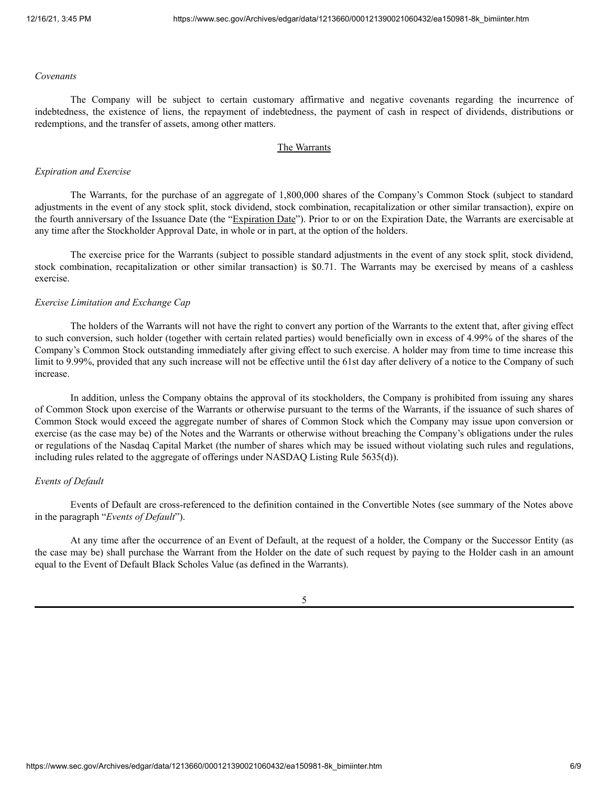#### *Covenants*

The Company will be subject to certain customary affirmative and negative covenants regarding the incurrence of indebtedness, the existence of liens, the repayment of indebtedness, the payment of cash in respect of dividends, distributions or redemptions, and the transfer of assets, among other matters.

## The Warrants

#### *Expiration and Exercise*

The Warrants, for the purchase of an aggregate of 1,800,000 shares of the Company's Common Stock (subject to standard adjustments in the event of any stock split, stock dividend, stock combination, recapitalization or other similar transaction), expire on the fourth anniversary of the Issuance Date (the "Expiration Date"). Prior to or on the Expiration Date, the Warrants are exercisable at any time after the Stockholder Approval Date, in whole or in part, at the option of the holders.

The exercise price for the Warrants (subject to possible standard adjustments in the event of any stock split, stock dividend, stock combination, recapitalization or other similar transaction) is \$0.71. The Warrants may be exercised by means of a cashless exercise.

#### *Exercise Limitation and Exchange Cap*

The holders of the Warrants will not have the right to convert any portion of the Warrants to the extent that, after giving effect to such conversion, such holder (together with certain related parties) would beneficially own in excess of 4.99% of the shares of the Company's Common Stock outstanding immediately after giving effect to such exercise. A holder may from time to time increase this limit to 9.99%, provided that any such increase will not be effective until the 61st day after delivery of a notice to the Company of such increase.

In addition, unless the Company obtains the approval of its stockholders, the Company is prohibited from issuing any shares of Common Stock upon exercise of the Warrants or otherwise pursuant to the terms of the Warrants, if the issuance of such shares of Common Stock would exceed the aggregate number of shares of Common Stock which the Company may issue upon conversion or exercise (as the case may be) of the Notes and the Warrants or otherwise without breaching the Company's obligations under the rules or regulations of the Nasdaq Capital Market (the number of shares which may be issued without violating such rules and regulations, including rules related to the aggregate of offerings under NASDAQ Listing Rule 5635(d)).

### *Events of Default*

Events of Default are cross-referenced to the definition contained in the Convertible Notes (see summary of the Notes above in the paragraph "*Events of Default*").

At any time after the occurrence of an Event of Default, at the request of a holder, the Company or the Successor Entity (as the case may be) shall purchase the Warrant from the Holder on the date of such request by paying to the Holder cash in an amount equal to the Event of Default Black Scholes Value (as defined in the Warrants).

5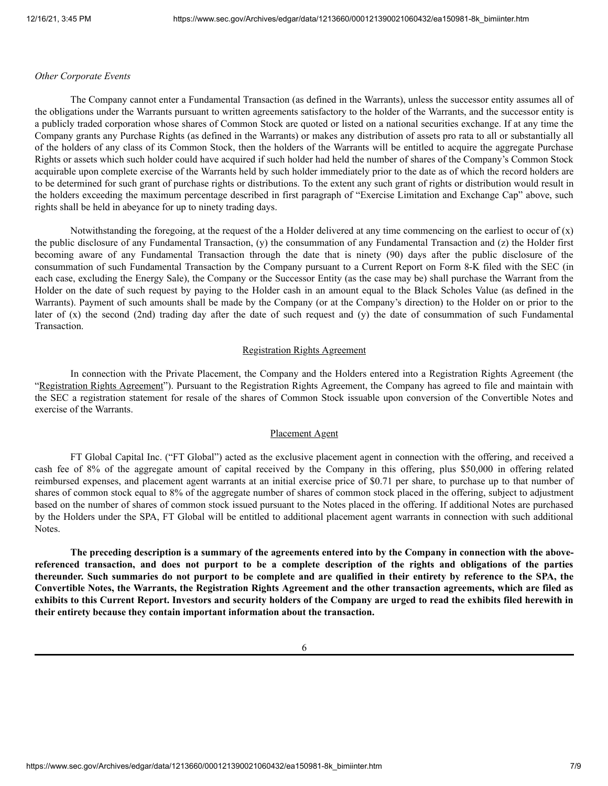#### *Other Corporate Events*

The Company cannot enter a Fundamental Transaction (as defined in the Warrants), unless the successor entity assumes all of the obligations under the Warrants pursuant to written agreements satisfactory to the holder of the Warrants, and the successor entity is a publicly traded corporation whose shares of Common Stock are quoted or listed on a national securities exchange. If at any time the Company grants any Purchase Rights (as defined in the Warrants) or makes any distribution of assets pro rata to all or substantially all of the holders of any class of its Common Stock, then the holders of the Warrants will be entitled to acquire the aggregate Purchase Rights or assets which such holder could have acquired if such holder had held the number of shares of the Company's Common Stock acquirable upon complete exercise of the Warrants held by such holder immediately prior to the date as of which the record holders are to be determined for such grant of purchase rights or distributions. To the extent any such grant of rights or distribution would result in the holders exceeding the maximum percentage described in first paragraph of "Exercise Limitation and Exchange Cap" above, such rights shall be held in abeyance for up to ninety trading days.

Notwithstanding the foregoing, at the request of the a Holder delivered at any time commencing on the earliest to occur of  $(x)$ the public disclosure of any Fundamental Transaction, (y) the consummation of any Fundamental Transaction and (z) the Holder first becoming aware of any Fundamental Transaction through the date that is ninety (90) days after the public disclosure of the consummation of such Fundamental Transaction by the Company pursuant to a Current Report on Form 8-K filed with the SEC (in each case, excluding the Energy Sale), the Company or the Successor Entity (as the case may be) shall purchase the Warrant from the Holder on the date of such request by paying to the Holder cash in an amount equal to the Black Scholes Value (as defined in the Warrants). Payment of such amounts shall be made by the Company (or at the Company's direction) to the Holder on or prior to the later of (x) the second (2nd) trading day after the date of such request and (y) the date of consummation of such Fundamental Transaction.

#### Registration Rights Agreement

In connection with the Private Placement, the Company and the Holders entered into a Registration Rights Agreement (the "Registration Rights Agreement"). Pursuant to the Registration Rights Agreement, the Company has agreed to file and maintain with the SEC a registration statement for resale of the shares of Common Stock issuable upon conversion of the Convertible Notes and exercise of the Warrants.

## Placement Agent

FT Global Capital Inc. ("FT Global") acted as the exclusive placement agent in connection with the offering, and received a cash fee of 8% of the aggregate amount of capital received by the Company in this offering, plus \$50,000 in offering related reimbursed expenses, and placement agent warrants at an initial exercise price of \$0.71 per share, to purchase up to that number of shares of common stock equal to 8% of the aggregate number of shares of common stock placed in the offering, subject to adjustment based on the number of shares of common stock issued pursuant to the Notes placed in the offering. If additional Notes are purchased by the Holders under the SPA, FT Global will be entitled to additional placement agent warrants in connection with such additional Notes.

The preceding description is a summary of the agreements entered into by the Company in connection with the abovereferenced transaction, and does not purport to be a complete description of the rights and obligations of the parties thereunder. Such summaries do not purport to be complete and are qualified in their entirety by reference to the SPA, the Convertible Notes, the Warrants, the Registration Rights Agreement and the other transaction agreements, which are filed as exhibits to this Current Report. Investors and security holders of the Company are urged to read the exhibits filed herewith in **their entirety because they contain important information about the transaction.**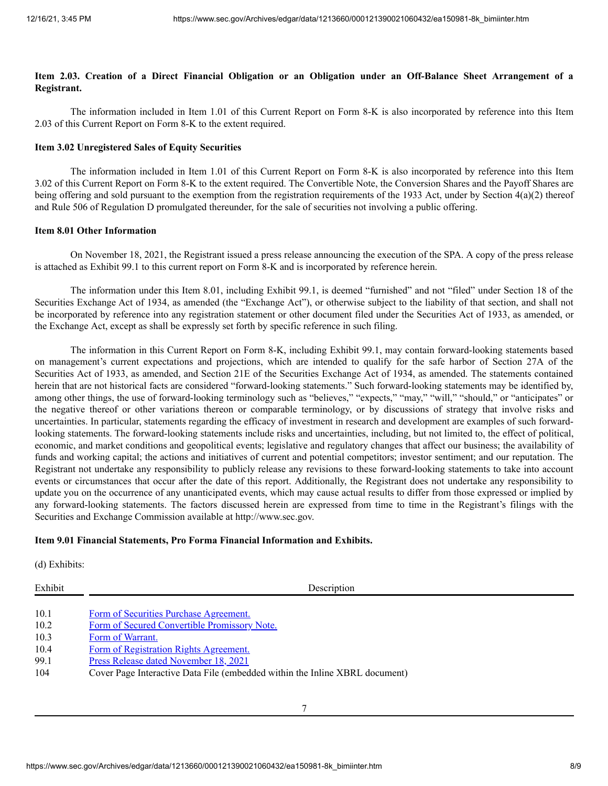# Item 2.03. Creation of a Direct Financial Obligation or an Obligation under an Off-Balance Sheet Arrangement of a **Registrant.**

The information included in Item 1.01 of this Current Report on Form 8-K is also incorporated by reference into this Item 2.03 of this Current Report on Form 8-K to the extent required.

## **Item 3.02 Unregistered Sales of Equity Securities**

The information included in Item 1.01 of this Current Report on Form 8-K is also incorporated by reference into this Item 3.02 of this Current Report on Form 8-K to the extent required. The Convertible Note, the Conversion Shares and the Payoff Shares are being offering and sold pursuant to the exemption from the registration requirements of the 1933 Act, under by Section 4(a)(2) thereof and Rule 506 of Regulation D promulgated thereunder, for the sale of securities not involving a public offering.

## **Item 8.01 Other Information**

On November 18, 2021, the Registrant issued a press release announcing the execution of the SPA. A copy of the press release is attached as Exhibit 99.1 to this current report on Form 8-K and is incorporated by reference herein.

The information under this Item 8.01, including Exhibit 99.1, is deemed "furnished" and not "filed" under Section 18 of the Securities Exchange Act of 1934, as amended (the "Exchange Act"), or otherwise subject to the liability of that section, and shall not be incorporated by reference into any registration statement or other document filed under the Securities Act of 1933, as amended, or the Exchange Act, except as shall be expressly set forth by specific reference in such filing.

The information in this Current Report on Form 8-K, including Exhibit 99.1, may contain forward-looking statements based on management's current expectations and projections, which are intended to qualify for the safe harbor of Section 27A of the Securities Act of 1933, as amended, and Section 21E of the Securities Exchange Act of 1934, as amended. The statements contained herein that are not historical facts are considered "forward-looking statements." Such forward-looking statements may be identified by, among other things, the use of forward-looking terminology such as "believes," "expects," "may," "will," "should," or "anticipates" or the negative thereof or other variations thereon or comparable terminology, or by discussions of strategy that involve risks and uncertainties. In particular, statements regarding the efficacy of investment in research and development are examples of such forwardlooking statements. The forward-looking statements include risks and uncertainties, including, but not limited to, the effect of political, economic, and market conditions and geopolitical events; legislative and regulatory changes that affect our business; the availability of funds and working capital; the actions and initiatives of current and potential competitors; investor sentiment; and our reputation. The Registrant not undertake any responsibility to publicly release any revisions to these forward-looking statements to take into account events or circumstances that occur after the date of this report. Additionally, the Registrant does not undertake any responsibility to update you on the occurrence of any unanticipated events, which may cause actual results to differ from those expressed or implied by any forward-looking statements. The factors discussed herein are expressed from time to time in the Registrant's filings with the Securities and Exchange Commission available at http://www.sec.gov.

## **Item 9.01 Financial Statements, Pro Forma Financial Information and Exhibits.**

(d) Exhibits:

| Exhibit | Description                                                                 |
|---------|-----------------------------------------------------------------------------|
|         |                                                                             |
| 10.1    | Form of Securities Purchase Agreement.                                      |
| 10.2    | Form of Secured Convertible Promissory Note.                                |
| 10.3    | Form of Warrant.                                                            |
| 10.4    | Form of Registration Rights Agreement.                                      |
| 99.1    | Press Release dated November 18, 2021                                       |
| 104     | Cover Page Interactive Data File (embedded within the Inline XBRL document) |
|         |                                                                             |